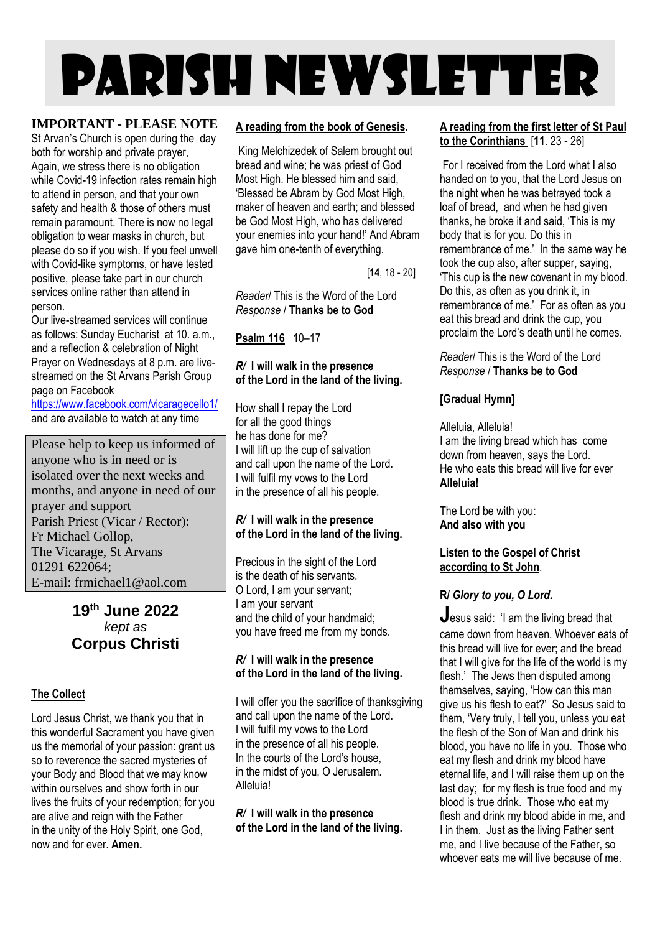# PARISH NEWSLETTER

#### **IMPORTANT - PLEASE NOTE**

St Arvan's Church is open during the day both for worship and private prayer, Again, we stress there is no obligation while Covid-19 infection rates remain high to attend in person, and that your own safety and health & those of others must remain paramount. There is now no legal obligation to wear masks in church, but please do so if you wish. If you feel unwell with Covid-like symptoms, or have tested positive, please take part in our church services online rather than attend in person.

Our live-streamed services will continue as follows: Sunday Eucharist at 10. a.m., and a reflection & celebration of Night Prayer on Wednesdays at 8 p.m. are livestreamed on the St Arvans Parish Group page on Facebook

<https://www.facebook.com/vicaragecello1/> and are available to watch at any time

Please help to keep us informed of anyone who is in need or is isolated over the next weeks and months, and anyone in need of our prayer and support Parish Priest (Vicar / Rector): Fr Michael Gollop, The Vicarage, St Arvans 01291 622064; E-mail: frmichael1@aol.com

#### **19 th June 2022** *kept as* **Corpus Christi**

#### **The Collect**

Lord Jesus Christ, we thank you that in this wonderful Sacrament you have given us the memorial of your passion: grant us so to reverence the sacred mysteries of your Body and Blood that we may know within ourselves and show forth in our lives the fruits of your redemption; for you are alive and reign with the Father in the unity of the Holy Spirit, one God, now and for ever. **Amen.**

#### **A reading from the book of Genesis**.

King Melchizedek of Salem brought out bread and wine; he was priest of God Most High. He blessed him and said, 'Blessed be Abram by God Most High, maker of heaven and earth; and blessed be God Most High, who has delivered your enemies into your hand!' And Abram gave him one-tenth of everything.

[**14**, 18 - 20]

*Reader*/ This is the Word of the Lord *Response* / **Thanks be to God**

**Psalm 116** 10–17

#### *R/* **I will walk in the presence of the Lord in the land of the living.**

How shall I repay the Lord for all the good things he has done for me? I will lift up the cup of salvation and call upon the name of the Lord. I will fulfil my vows to the Lord in the presence of all his people.

#### *R/* **I will walk in the presence of the Lord in the land of the living.**

Precious in the sight of the Lord is the death of his servants. O Lord, I am your servant; I am your servant and the child of your handmaid; you have freed me from my bonds.

#### *R/* **I will walk in the presence of the Lord in the land of the living.**

I will offer you the sacrifice of thanksgiving and call upon the name of the Lord. I will fulfil my vows to the Lord in the presence of all his people. In the courts of the Lord's house, in the midst of you, O Jerusalem. Alleluia!

*R/* **I will walk in the presence of the Lord in the land of the living.**

#### **A reading from the first letter of St Paul to the Corinthians** [**11**. 23 - 26]

For I received from the Lord what I also handed on to you, that the Lord Jesus on the night when he was betrayed took a loaf of bread, and when he had given thanks, he broke it and said, 'This is my body that is for you. Do this in remembrance of me.' In the same way he took the cup also, after supper, saying, 'This cup is the new covenant in my blood. Do this, as often as you drink it, in remembrance of me.' For as often as you eat this bread and drink the cup, you proclaim the Lord's death until he comes.

*Reader*/ This is the Word of the Lord *Response* / **Thanks be to God**

#### **[Gradual Hymn]**

Alleluia, Alleluia! I am the living bread which has come down from heaven, says the Lord. He who eats this bread will live for ever **Alleluia!**

The Lord be with you: **And also with you**

#### **Listen to the Gospel of Christ according to St John**.

#### **R/** *Glory to you, O Lord.*

**J**esus said: 'I am the living bread that came down from heaven. Whoever eats of this bread will live for ever; and the bread that I will give for the life of the world is my flesh.' The Jews then disputed among themselves, saying, 'How can this man give us his flesh to eat?' So Jesus said to them, 'Very truly, I tell you, unless you eat the flesh of the Son of Man and drink his blood, you have no life in you. Those who eat my flesh and drink my blood have eternal life, and I will raise them up on the last day; for my flesh is true food and my blood is true drink. Those who eat my flesh and drink my blood abide in me, and I in them. Just as the living Father sent me, and I live because of the Father, so whoever eats me will live because of me.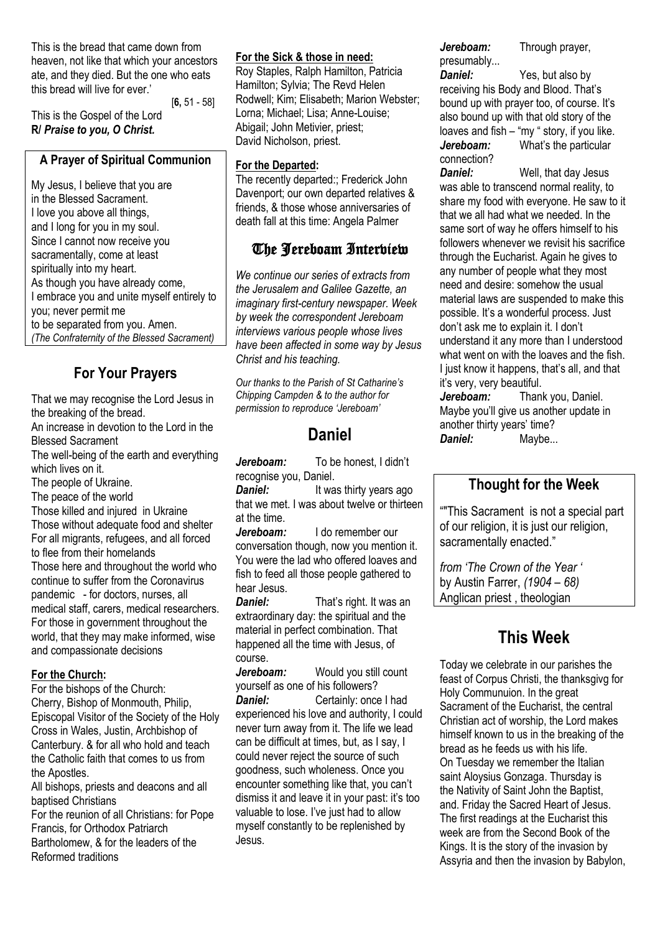This is the bread that came down from heaven, not like that which your ancestors ate, and they died. But the one who eats this bread will live for ever.'

[**6,** 51 - 58]

This is the Gospel of the Lord **R/** *Praise to you, O Christ.*

#### **A Prayer of Spiritual Communion**

My Jesus, I believe that you are in the Blessed Sacrament. I love you above all things, and I long for you in my soul. Since I cannot now receive you sacramentally, come at least spiritually into my heart. As though you have already come, I embrace you and unite myself entirely to you; never permit me to be separated from you. Amen.

*(The Confraternity of the Blessed Sacrament)*

## **For Your Prayers**

That we may recognise the Lord Jesus in the breaking of the bread.

An increase in devotion to the Lord in the Blessed Sacrament

The well-being of the earth and everything which lives on it.

The people of Ukraine.

The peace of the world

Those killed and injured in Ukraine Those without adequate food and shelter For all migrants, refugees, and all forced to flee from their homelands Those here and throughout the world who continue to suffer from the Coronavirus pandemic - for doctors, nurses, all medical staff, carers, medical researchers. For those in government throughout the world, that they may make informed, wise and compassionate decisions

#### **For the Church:**

For the bishops of the Church: Cherry, Bishop of Monmouth, Philip, Episcopal Visitor of the Society of the Holy Cross in Wales, Justin, Archbishop of Canterbury. & for all who hold and teach the Catholic faith that comes to us from the Apostles.

All bishops, priests and deacons and all baptised Christians

For the reunion of all Christians: for Pope Francis, for Orthodox Patriarch Bartholomew, & for the leaders of the Reformed traditions

#### **For the Sick & those in need:**

Roy Staples, Ralph Hamilton, Patricia Hamilton; Sylvia; The Revd Helen Rodwell; Kim; Elisabeth; Marion Webster; Lorna; Michael; Lisa; Anne-Louise; Abigail; John Metivier, priest; David Nicholson, priest.

#### **For the Departed:**

The recently departed:; Frederick John Davenport; our own departed relatives & friends, & those whose anniversaries of death fall at this time: Angela Palmer

### The Jereboam Interview

*We continue our series of extracts from the Jerusalem and Galilee Gazette, an imaginary first-century newspaper. Week by week the correspondent Jereboam interviews various people whose lives have been affected in some way by Jesus Christ and his teaching.*

*Our thanks to the Parish of St Catharine's Chipping Campden & to the author for permission to reproduce 'Jereboam'*

## **Daniel**

*Jereboam:* To be honest, I didn't recognise you, Daniel.

**Daniel:** It was thirty years ago that we met. I was about twelve or thirteen at the time.

*Jereboam:* I do remember our conversation though, now you mention it. You were the lad who offered loaves and fish to feed all those people gathered to hear Jesus.<br>**Daniel:** 

That's right. It was an extraordinary day: the spiritual and the material in perfect combination. That happened all the time with Jesus, of course.

*Jereboam:* Would you still count yourself as one of his followers? *Daniel:* Certainly: once I had experienced his love and authority, I could never turn away from it. The life we lead can be difficult at times, but, as I say, I could never reject the source of such goodness, such wholeness. Once you encounter something like that, you can't dismiss it and leave it in your past: it's too valuable to lose. I've just had to allow myself constantly to be replenished by Jesus.

*Jereboam:* Through prayer, presumably...

*Daniel:* Yes, but also by receiving his Body and Blood. That's bound up with prayer too, of course. It's also bound up with that old story of the loaves and fish – "my " story, if you like. *Jereboam:* What's the particular connection?<br>Daniel:

Well, that day Jesus was able to transcend normal reality, to share my food with everyone. He saw to it that we all had what we needed. In the same sort of way he offers himself to his followers whenever we revisit his sacrifice through the Eucharist. Again he gives to any number of people what they most need and desire: somehow the usual material laws are suspended to make this possible. It's a wonderful process. Just don't ask me to explain it. I don't understand it any more than I understood what went on with the loaves and the fish. I just know it happens, that's all, and that it's very, very beautiful.

*Jereboam:* Thank you, Daniel. Maybe you'll give us another update in another thirty years' time? *Daniel:* Maybe...

#### **Thought for the Week**

""This Sacrament is not a special part of our religion, it is just our religion, sacramentally enacted."

*from 'The Crown of the Year '* by Austin Farrer, *(1904 – 68)* Anglican priest , theologian

## **This Week**

Today we celebrate in our parishes the feast of Corpus Christi, the thanksgivg for Holy Communuion. In the great Sacrament of the Eucharist, the central Christian act of worship, the Lord makes himself known to us in the breaking of the bread as he feeds us with his life. On Tuesday we remember the Italian saint Aloysius Gonzaga. Thursday is the Nativity of Saint John the Baptist, and. Friday the Sacred Heart of Jesus. The first readings at the Eucharist this week are from the Second Book of the Kings. It is the story of the invasion by Assyria and then the invasion by Babylon,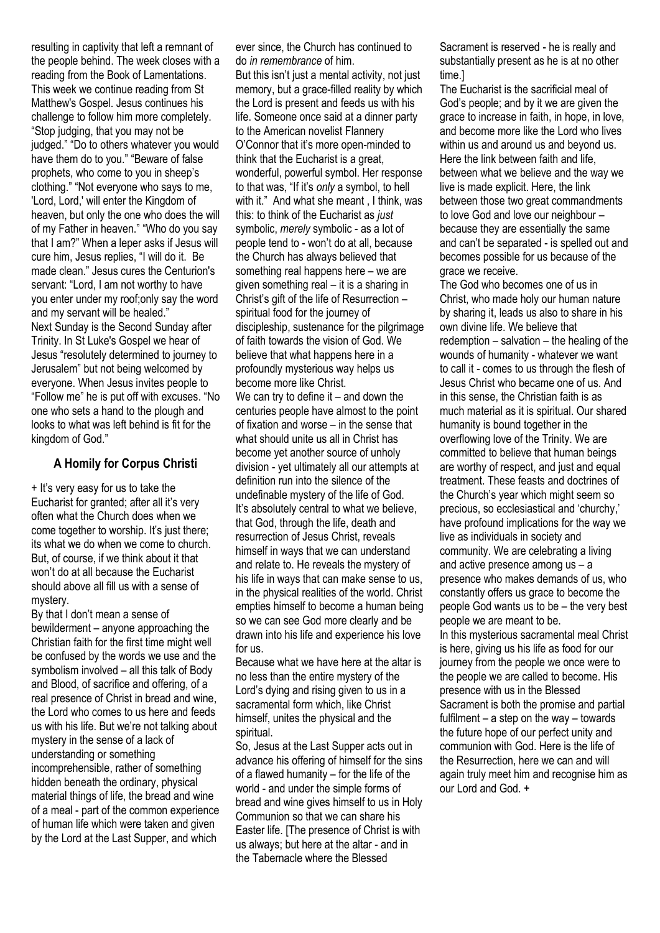resulting in captivity that left a remnant of the people behind. The week closes with a reading from the Book of Lamentations. This week we continue reading from St Matthew's Gospel. Jesus continues his challenge to follow him more completely. "Stop judging, that you may not be judged." "Do to others whatever you would have them do to you." "Beware of false prophets, who come to you in sheep's clothing." "Not everyone who says to me, 'Lord, Lord,' will enter the Kingdom of heaven, but only the one who does the will of my Father in heaven." "Who do you say that I am?" When a leper asks if Jesus will cure him, Jesus replies, "I will do it. Be made clean." Jesus cures the Centurion's servant: "Lord, I am not worthy to have you enter under my roof;only say the word and my servant will be healed." Next Sunday is the Second Sunday after Trinity. In St Luke's Gospel we hear of Jesus "resolutely determined to journey to Jerusalem" but not being welcomed by everyone. When Jesus invites people to "Follow me" he is put off with excuses. "No one who sets a hand to the plough and looks to what was left behind is fit for the kingdom of God."

#### **A Homily for Corpus Christi**

+ It's very easy for us to take the Eucharist for granted; after all it's very often what the Church does when we come together to worship. It's just there; its what we do when we come to church. But, of course, if we think about it that won't do at all because the Eucharist should above all fill us with a sense of mystery.

By that I don't mean a sense of bewilderment – anyone approaching the Christian faith for the first time might well be confused by the words we use and the symbolism involved – all this talk of Body and Blood, of sacrifice and offering, of a real presence of Christ in bread and wine, the Lord who comes to us here and feeds us with his life. But we're not talking about mystery in the sense of a lack of understanding or something incomprehensible, rather of something hidden beneath the ordinary, physical material things of life, the bread and wine of a meal - part of the common experience of human life which were taken and given by the Lord at the Last Supper, and which ever since, the Church has continued to do *in remembrance* of him.

But this isn't just a mental activity, not just memory, but a grace-filled reality by which the Lord is present and feeds us with his life. Someone once said at a dinner party to the American novelist Flannery O'Connor that it's more open-minded to think that the Eucharist is a great, wonderful, powerful symbol. Her response to that was, "If it's *only* a symbol, to hell with it." And what she meant . I think, was this: to think of the Eucharist as *just* symbolic, *merely* symbolic - as a lot of people tend to - won't do at all, because the Church has always believed that something real happens here – we are given something real – it is a sharing in Christ's gift of the life of Resurrection – spiritual food for the journey of discipleship, sustenance for the pilgrimage of faith towards the vision of God. We believe that what happens here in a profoundly mysterious way helps us become more like Christ. We can try to define it  $-$  and down the centuries people have almost to the point of fixation and worse – in the sense that what should unite us all in Christ has become yet another source of unholy division - yet ultimately all our attempts at definition run into the silence of the

undefinable mystery of the life of God. It's absolutely central to what we believe, that God, through the life, death and resurrection of Jesus Christ, reveals himself in ways that we can understand and relate to. He reveals the mystery of his life in ways that can make sense to us, in the physical realities of the world. Christ empties himself to become a human being so we can see God more clearly and be drawn into his life and experience his love for us.

Because what we have here at the altar is no less than the entire mystery of the Lord's dying and rising given to us in a sacramental form which, like Christ himself, unites the physical and the spiritual.

So, Jesus at the Last Supper acts out in advance his offering of himself for the sins of a flawed humanity – for the life of the world - and under the simple forms of bread and wine gives himself to us in Holy Communion so that we can share his Easter life. [The presence of Christ is with us always; but here at the altar - and in the Tabernacle where the Blessed

Sacrament is reserved - he is really and substantially present as he is at no other time.]

The Eucharist is the sacrificial meal of God's people; and by it we are given the grace to increase in faith, in hope, in love, and become more like the Lord who lives within us and around us and beyond us. Here the link between faith and life, between what we believe and the way we live is made explicit. Here, the link between those two great commandments to love God and love our neighbour – because they are essentially the same and can't be separated - is spelled out and becomes possible for us because of the grace we receive.

The God who becomes one of us in Christ, who made holy our human nature by sharing it, leads us also to share in his own divine life. We believe that redemption – salvation – the healing of the wounds of humanity - whatever we want to call it - comes to us through the flesh of Jesus Christ who became one of us. And in this sense, the Christian faith is as much material as it is spiritual. Our shared humanity is bound together in the overflowing love of the Trinity. We are committed to believe that human beings are worthy of respect, and just and equal treatment. These feasts and doctrines of the Church's year which might seem so precious, so ecclesiastical and 'churchy,' have profound implications for the way we live as individuals in society and community. We are celebrating a living and active presence among us – a presence who makes demands of us, who constantly offers us grace to become the people God wants us to be – the very best people we are meant to be. In this mysterious sacramental meal Christ is here, giving us his life as food for our journey from the people we once were to the people we are called to become. His presence with us in the Blessed Sacrament is both the promise and partial fulfilment – a step on the way – towards the future hope of our perfect unity and communion with God. Here is the life of the Resurrection, here we can and will again truly meet him and recognise him as our Lord and God. +